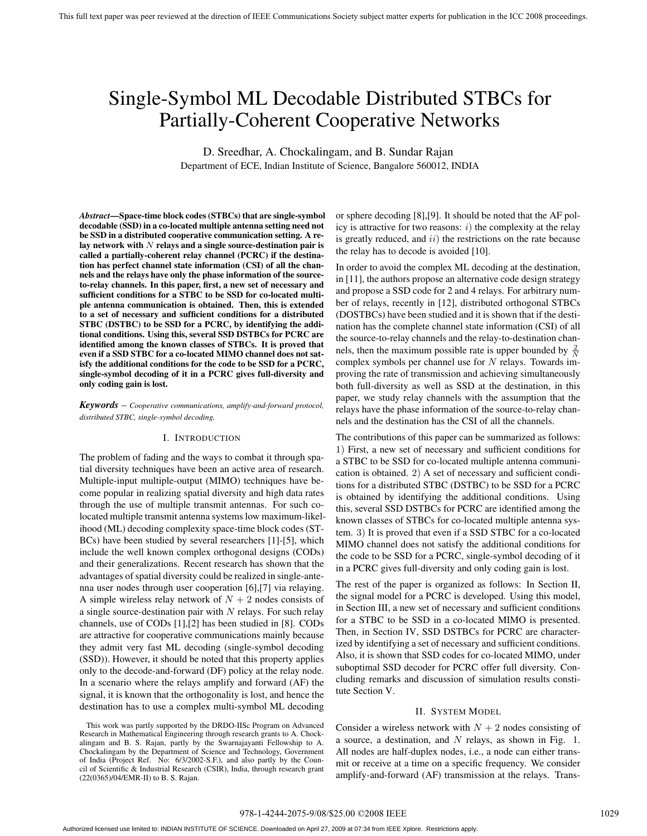# Single-Symbol ML Decodable Distributed STBCs for Partially-Coherent Cooperative Networks

D. Sreedhar, A. Chockalingam, and B. Sundar Rajan Department of ECE, Indian Institute of Science, Bangalore 560012, INDIA

*Abstract***—Space-time block codes (STBCs) that are single-symbol decodable (SSD) in a co-located multiple antenna setting need not be SSD in a distributed cooperative communication setting. A relay network with** N **relays and a single source-destination pair is called a partially-coherent relay channel (PCRC) if the destination has perfect channel state information (CSI) of all the channels and the relays have only the phase information of the sourceto-relay channels. In this paper, first, a new set of necessary and sufficient conditions for a STBC to be SSD for co-located multiple antenna communication is obtained. Then, this is extended to a set of necessary and sufficient conditions for a distributed STBC (DSTBC) to be SSD for a PCRC, by identifying the additional conditions. Using this, several SSD DSTBCs for PCRC are identified among the known classes of STBCs. It is proved that even if a SSD STBC for a co-located MIMO channel does not satisfy the additional conditions for the code to be SSD for a PCRC, single-symbol decoding of it in a PCRC gives full-diversity and only coding gain is lost.**

*Keywords* – *Cooperative communications, amplify-and-forward protocol, distributed STBC, single-symbol decoding.*

#### I. INTRODUCTION

The problem of fading and the ways to combat it through spatial diversity techniques have been an active area of research. Multiple-input multiple-output (MIMO) techniques have become popular in realizing spatial diversity and high data rates through the use of multiple transmit antennas. For such colocated multiple transmit antenna systems low maximum-likelihood (ML) decoding complexity space-time block codes (ST-BCs) have been studied by several researchers [1]-[5], which include the well known complex orthogonal designs (CODs) and their generalizations. Recent research has shown that the advantages of spatial diversity could be realized in single-antenna user nodes through user cooperation [6],[7] via relaying. A simple wireless relay network of  $N + 2$  nodes consists of a single source-destination pair with  $N$  relays. For such relay channels, use of CODs [1],[2] has been studied in [8]. CODs are attractive for cooperative communications mainly because they admit very fast ML decoding (single-symbol decoding (SSD)). However, it should be noted that this property applies only to the decode-and-forward (DF) policy at the relay node. In a scenario where the relays amplify and forward (AF) the signal, it is known that the orthogonality is lost, and hence the destination has to use a complex multi-symbol ML decoding

or sphere decoding [8],[9]. It should be noted that the AF policy is attractive for two reasons:  $i)$  the complexity at the relay is greatly reduced, and  $ii)$  the restrictions on the rate because the relay has to decode is avoided [10].

In order to avoid the complex ML decoding at the destination, in [11], the authors propose an alternative code design strategy and propose a SSD code for 2 and 4 relays. For arbitrary number of relays, recently in [12], distributed orthogonal STBCs (DOSTBCs) have been studied and it is shown that if the destination has the complete channel state information (CSI) of all the source-to-relay channels and the relay-to-destination channels, then the maximum possible rate is upper bounded by  $\frac{2}{N}$ complex symbols per channel use for  $N$  relays. Towards improving the rate of transmission and achieving simultaneously both full-diversity as well as SSD at the destination, in this paper, we study relay channels with the assumption that the relays have the phase information of the source-to-relay channels and the destination has the CSI of all the channels.

The contributions of this paper can be summarized as follows: 1) First, a new set of necessary and sufficient conditions for a STBC to be SSD for co-located multiple antenna communication is obtained. 2) A set of necessary and sufficient conditions for a distributed STBC (DSTBC) to be SSD for a PCRC is obtained by identifying the additional conditions. Using this, several SSD DSTBCs for PCRC are identified among the known classes of STBCs for co-located multiple antenna system. 3) It is proved that even if a SSD STBC for a co-located MIMO channel does not satisfy the additional conditions for the code to be SSD for a PCRC, single-symbol decoding of it in a PCRC gives full-diversity and only coding gain is lost.

The rest of the paper is organized as follows: In Section II, the signal model for a PCRC is developed. Using this model, in Section III, a new set of necessary and sufficient conditions for a STBC to be SSD in a co-located MIMO is presented. Then, in Section IV, SSD DSTBCs for PCRC are characterized by identifying a set of necessary and sufficient conditions. Also, it is shown that SSD codes for co-located MIMO, under suboptimal SSD decoder for PCRC offer full diversity. Concluding remarks and discussion of simulation results constitute Section V.

### II. SYSTEM MODEL

Consider a wireless network with  $N + 2$  nodes consisting of a source, a destination, and  $N$  relays, as shown in Fig. 1. All nodes are half-duplex nodes, i.e., a node can either transmit or receive at a time on a specific frequency. We consider amplify-and-forward (AF) transmission at the relays. Trans-

This work was partly supported by the DRDO-IISc Program on Advanced Research in Mathematical Engineering through research grants to A. Chockalingam and B. S. Rajan, partly by the Swarnajayanti Fellowship to A. Chockalingam by the Department of Science and Technology, Government of India (Project Ref. No: 6/3/2002-S.F.), and also partly by the Council of Scientific & Industrial Research (CSIR), India, through research grant (22(0365)/04/EMR-II) to B. S. Rajan.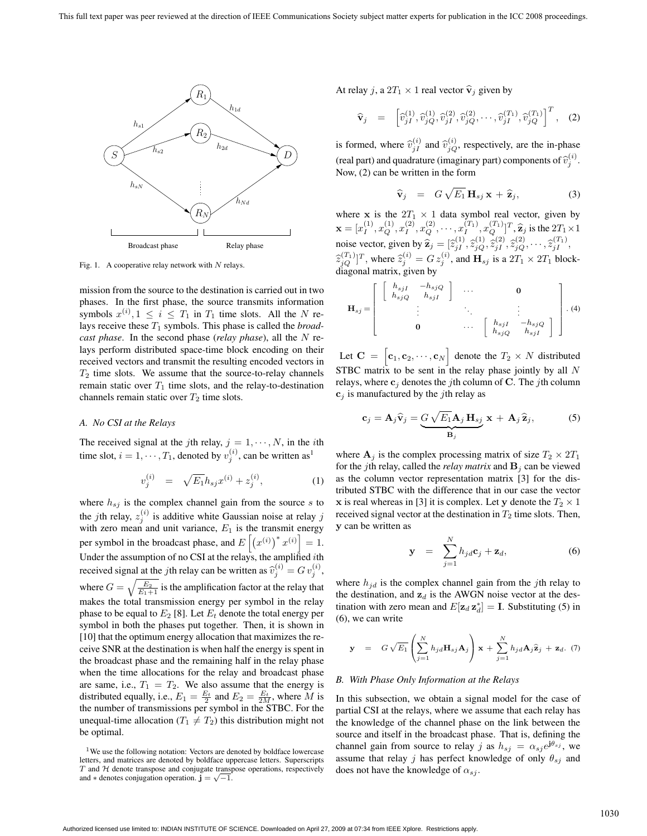

Fig. 1. A cooperative relay network with  $N$  relays.

mission from the source to the destination is carried out in two phases. In the first phase, the source transmits information symbols  $x^{(i)}$ ,  $1 \leq i \leq T_1$  in  $T_1$  time slots. All the N relays receive these  $T_1$  symbols. This phase is called the *broadcast phase*. In the second phase (*relay phase*), all the N relays perform distributed space-time block encoding on their received vectors and transmit the resulting encoded vectors in  $T_2$  time slots. We assume that the source-to-relay channels remain static over  $T_1$  time slots, and the relay-to-destination channels remain static over  $T_2$  time slots.

## *A. No CSI at the Relays*

The received signal at the jth relay,  $j = 1, \dots, N$ , in the *i*th time slot,  $i = 1, \dots, T_1$ , denoted by  $v_j^{(i)}$ , can be written as<sup>1</sup>

$$
v_j^{(i)} = \sqrt{E_1} h_{sj} x^{(i)} + z_j^{(i)}, \tag{1}
$$

where  $h_{sj}$  is the complex channel gain from the source s to the *j*th relay,  $z_i^{(i)}$  is additive white Gaussian noise at relay *j* with zero mean and unit variance,  $E_1$  is the transmit energy per symbol in the broadcast phase, and  $E\left[\left(x^{(i)}\right)^* x^{(i)}\right] = 1$ . Under the assumption of no CSI at the relays, the amplified *i*th received signal at the jth relay can be written as  $\hat{v}_j^{(i)} = G v_j^{(i)}$ , where  $G = \sqrt{\frac{E_2}{E_1+1}}$  is the amplification factor at the relay that makes the total transmission energy per symbol in the relay phase to be equal to  $E_2$  [8]. Let  $E_t$  denote the total energy per symbol in both the phases put together. Then, it is shown in [10] that the optimum energy allocation that maximizes the receive SNR at the destination is when half the energy is spent in the broadcast phase and the remaining half in the relay phase when the time allocations for the relay and broadcast phase are same, i.e.,  $T_1 = T_2$ . We also assume that the energy is distributed equally, i.e.,  $E_1 = \frac{E_t}{2}$  and  $E_2 = \frac{E_t}{2M}$ , where M is the number of transmissions per symbol in the STBC. For the unequal-time allocation  $(T_1 \neq T_2)$  this distribution might not be optimal.

At relay j, a  $2T_1 \times 1$  real vector  $\hat{\mathbf{v}}_i$  given by

$$
\widehat{\mathbf{v}}_{j} = \left[ \widehat{v}_{jI}^{(1)}, \widehat{v}_{jQ}^{(1)}, \widehat{v}_{jI}^{(2)}, \widehat{v}_{jQ}^{(2)}, \cdots, \widehat{v}_{jI}^{(T_1)}, \widehat{v}_{jQ}^{(T_1)} \right]^{T}, \quad (2)
$$

is formed, where  $\hat{v}_{jI}^{(i)}$  and  $\hat{v}_{jQ}^{(i)}$ , respectively, are the in-phase (real part) and quadrature (imaginary part) components of  $\hat{v}_j^{(i)}$ . Now, (2) can be written in the form

$$
\widehat{\mathbf{v}}_j = G \sqrt{E_1} \, \mathbf{H}_{sj} \, \mathbf{x} + \widehat{\mathbf{z}}_j, \tag{3}
$$

where **x** is the  $2T_1 \times 1$  data symbol real vector, given by  $\mathbf{x} = [x_1^{(1)}, x_Q^{(1)}, x_1^{(2)}, x_Q^{(2)}, \cdots, x_I^{(T_1)}, x_Q^{(T_1)}]^T, \hat{\mathbf{z}}_j$  is the  $2T_1 \times 1$ noise vector, given by  $\hat{\mathbf{z}}_j = [\hat{z}_{jI}^{(1)}, \hat{z}_{jQ}^{(1)}, \hat{z}_{jI}^{(2)}, \hat{z}_{jQ}^{(2)}, \cdots, \hat{z}_{jI}^{(T_1)},$  $\hat{z}_{jQ}^{(T_1)}$ ]<sup>T</sup>, where  $\hat{z}_j^{(i)} = G z_j^{(i)}$ , and  $\mathbf{H}_{sj}$  is a  $2T_1 \times 2T_1$  blockdiagonal matrix, given by

$$
\mathbf{H}_{sj} = \left[ \begin{array}{cccc} \left[ \begin{array}{cc} h_{sjI} & -h_{sjQ} \\ h_{sjQ} & h_{sjI} \end{array} \right] & \cdots & \mathbf{0} \\ \vdots & \ddots & \vdots \\ \mathbf{0} & \cdots & \left[ \begin{array}{cc} h_{sjI} & -h_{sjQ} \\ h_{sjQ} & h_{sjI} \end{array} \right] \end{array} \right]. (4)
$$

Let  $C = \begin{bmatrix} c_1, c_2, \cdots, c_N \end{bmatrix}$  denote the  $T_2 \times N$  distributed STBC matrix to be sent in the relay phase jointly by all N relays, where  $\mathbf{c}_j$  denotes the *j*th column of **C**. The *j*th column  $c_j$  is manufactured by the *j*th relay as

$$
\mathbf{c}_{j} = \mathbf{A}_{j} \hat{\mathbf{v}}_{j} = \underbrace{G \sqrt{E_{1}} \mathbf{A}_{j} \mathbf{H}_{sj}}_{\mathbf{B}_{j}} \mathbf{x} + \mathbf{A}_{j} \hat{\mathbf{z}}_{j},
$$
 (5)

where  $A_j$  is the complex processing matrix of size  $T_2 \times 2T_1$ for the *j*th relay, called the *relay matrix* and  $\mathbf{B}_i$  can be viewed as the column vector representation matrix [3] for the distributed STBC with the difference that in our case the vector **x** is real whereas in [3] it is complex. Let **y** denote the  $T_2 \times 1$ received signal vector at the destination in  $T_2$  time slots. Then, **y** can be written as

$$
\mathbf{y} = \sum_{j=1}^{N} h_{jd} \mathbf{c}_j + \mathbf{z}_d, \tag{6}
$$

where  $h_{jd}$  is the complex channel gain from the jth relay to the destination, and  $z_d$  is the AWGN noise vector at the destination with zero mean and  $E[\mathbf{z}_d \mathbf{z}_d^*] = \mathbf{I}$ . Substituting (5) in (6), we can write

$$
\mathbf{y} = G \sqrt{E_1} \left( \sum_{j=1}^N h_{jd} \mathbf{H}_{sj} \mathbf{A}_j \right) \mathbf{x} + \sum_{j=1}^N h_{jd} \mathbf{A}_j \hat{\mathbf{z}}_j + \mathbf{z}_d. (7)
$$

## *B. With Phase Only Information at the Relays*

In this subsection, we obtain a signal model for the case of partial CSI at the relays, where we assume that each relay has the knowledge of the channel phase on the link between the source and itself in the broadcast phase. That is, defining the channel gain from source to relay j as  $h_{sj} = \alpha_{sj} e^{j\theta_{sj}}$ , we assume that relay j has perfect knowledge of only  $\theta_{sj}$  and does not have the knowledge of  $\alpha_{sj}$ .

<sup>&</sup>lt;sup>1</sup>We use the following notation: Vectors are denoted by boldface lowercase letters, and matrices are denoted by boldface uppercase letters. Superscripts  $T$  and  $H$  denote transpose and conjugate transpose operations, respectively and  $*$  denotes conjugation operation. **j** =  $\sqrt{-1}$ .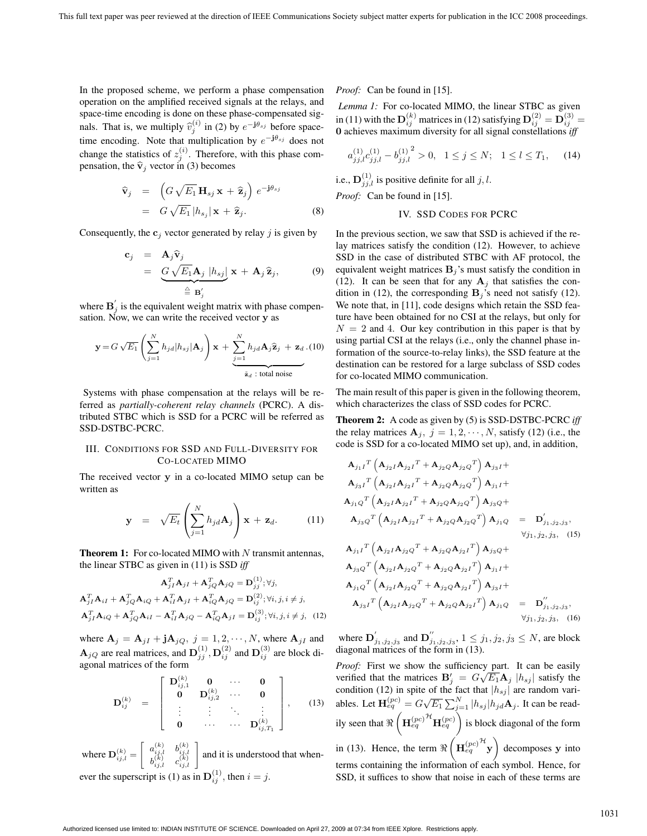In the proposed scheme, we perform a phase compensation operation on the amplified received signals at the relays, and space-time encoding is done on these phase-compensated signals. That is, we multiply  $\hat{v}_j^{(i)}$  in (2) by  $e^{-j\theta_{sj}}$  before spacetime encoding. Note that multiplication by  $e^{-j\theta_{sj}}$  does not change the statistics of  $z_i^{(i)}$ . Therefore, with this phase compensation, the  $\hat{\mathbf{v}}_j$  vector in (3) becomes

$$
\widehat{\mathbf{v}}_{j} = \left( G \sqrt{E_{1}} \mathbf{H}_{sj} \mathbf{x} + \widehat{\mathbf{z}}_{j} \right) e^{-j\theta_{sj}} \n= G \sqrt{E_{1}} |h_{sj}| \mathbf{x} + \widehat{\mathbf{z}}_{j}.
$$
\n(8)

Consequently, the  $c_j$  vector generated by relay j is given by

$$
\mathbf{c}_{j} = \mathbf{A}_{j} \hat{\mathbf{v}}_{j} \n= \underbrace{G \sqrt{E_{1}} \mathbf{A}_{j} |h_{sj}|}_{\triangleq \mathbf{B}'_{j}} \mathbf{x} + \mathbf{A}_{j} \hat{\mathbf{z}}_{j},
$$
\n(9)

where  $\mathbf{B}'_i$  is the equivalent weight matrix with phase compensation. Now, we can write the received vector **y** as

$$
\mathbf{y} = G\sqrt{E_1} \left( \sum_{j=1}^N h_{jd} | h_{sj} | \mathbf{A}_j \right) \mathbf{x} + \underbrace{\sum_{j=1}^N h_{jd} \mathbf{A}_j \hat{\mathbf{z}}_j + \mathbf{z}_d}_{\tilde{\mathbf{z}}_d \text{ : total noise}} \cdot (10)
$$

Systems with phase compensation at the relays will be referred as *partially-coherent relay channels* (PCRC). A distributed STBC which is SSD for a PCRC will be referred as SSD-DSTBC-PCRC.

# III. CONDITIONS FOR SSD AND FULL-DIVERSITY FOR CO-LOCATED MIMO

The received vector **y** in a co-located MIMO setup can be written as

$$
\mathbf{y} = \sqrt{E_t} \left( \sum_{j=1}^N h_{jd} \mathbf{A}_j \right) \mathbf{x} + \mathbf{z}_d. \quad (11)
$$

**Theorem 1:** For co-located MIMO with N transmit antennas, the linear STBC as given in (11) is SSD *iff*

$$
\mathbf{A}_{jI}^T \mathbf{A}_{jI} + \mathbf{A}_{jQ}^T \mathbf{A}_{jQ} = \mathbf{D}_{jj}^{(1)}; \forall j,
$$
  
\n
$$
\mathbf{A}_{jI}^T \mathbf{A}_{iI} + \mathbf{A}_{jQ}^T \mathbf{A}_{iQ} + \mathbf{A}_{iI}^T \mathbf{A}_{jI} + \mathbf{A}_{iQ}^T \mathbf{A}_{jQ} = \mathbf{D}_{ij}^{(2)}; \forall i, j, i \neq j,
$$
  
\n
$$
\mathbf{A}_{jI}^T \mathbf{A}_{iQ} + \mathbf{A}_{jQ}^T \mathbf{A}_{iI} - \mathbf{A}_{iI}^T \mathbf{A}_{jQ} - \mathbf{A}_{iQ}^T \mathbf{A}_{jI} = \mathbf{D}_{ij}^{(3)}; \forall i, j, i \neq j, \quad (12)
$$

where  $\mathbf{A}_j = \mathbf{A}_{jI} + \mathbf{j} \mathbf{A}_{jQ}, j = 1, 2, \cdots, N$ , where  $\mathbf{A}_{jI}$  and  $\mathbf{A}_{jQ}$  are real matrices, and  $\mathbf{D}_{ij}^{(1)}$ ,  $\mathbf{D}_{ij}^{(2)}$  and  $\mathbf{D}_{ij}^{(3)}$  are block diagonal matrices of the form

$$
\mathbf{D}_{ij}^{(k)} = \begin{bmatrix} \mathbf{D}_{ij,1}^{(k)} & \mathbf{0} & \cdots & \mathbf{0} \\ \mathbf{0} & \mathbf{D}_{ij,2}^{(k)} & \cdots & \mathbf{0} \\ \vdots & \vdots & \ddots & \vdots \\ \mathbf{0} & \cdots & \cdots & \mathbf{D}_{ij,T_1}^{(k)} \end{bmatrix}, \quad (13)
$$

where  $\mathbf{D}_{i i, l}^{(k)} =$  $\begin{bmatrix} a_{ij,l}^{(k)} & b_{ij,l}^{(k)} \\ b_{i,j,l}^{(k)} & c_{ij,l}^{(k)} \end{bmatrix}$  and it is understood that whenever the superscript is (1) as in  $\mathbf{D}_{ii}^{(1)}$ , then  $i = j$ .

*Proof:* Can be found in [15].

*Lemma 1:* For co-located MIMO, the linear STBC as given in (11) with the  $\mathbf{D}_{ij}^{(k)}$  matrices in (12) satisfying  $\mathbf{D}_{ij}^{(2)} = \mathbf{D}_{ij}^{(3)} =$ **0** achieves maximum diversity for all signal constellations *iff*

$$
a_{jj,l}^{(1)}c_{jj,l}^{(1)} - b_{jj,l}^{(1)}^2 > 0, \ \ 1 \le j \le N; \ \ 1 \le l \le T_1, \quad (14)
$$

i.e.,  $\mathbf{D}_{j,i,l}^{(1)}$  is positive definite for all j, l. *Proof:* Can be found in [15].

# IV. SSD CODES FOR PCRC

In the previous section, we saw that SSD is achieved if the relay matrices satisfy the condition (12). However, to achieve SSD in the case of distributed STBC with AF protocol, the equivalent weight matrices  $\mathbf{B}_i$ 's must satisfy the condition in (12). It can be seen that for any  $A_i$  that satisfies the condition in (12), the corresponding  $\mathbf{B}_j$ 's need not satisfy (12). We note that, in [11], code designs which retain the SSD feature have been obtained for no CSI at the relays, but only for  $N = 2$  and 4. Our key contribution in this paper is that by using partial CSI at the relays (i.e., only the channel phase information of the source-to-relay links), the SSD feature at the destination can be restored for a large subclass of SSD codes for co-located MIMO communication.

The main result of this paper is given in the following theorem, which characterizes the class of SSD codes for PCRC.

**Theorem 2:** A code as given by (5) is SSD-DSTBC-PCRC *iff* the relay matrices  $A_j$ ,  $j = 1, 2, \dots, N$ , satisfy (12) (i.e., the code is SSD for a co-located MIMO set up), and, in addition,

$$
A_{j_1I}^T (A_{j_2I}A_{j_2I}^T + A_{j_2Q}A_{j_2Q}^T) A_{j_3I} +
$$
  
\n
$$
A_{j_3I}^T (A_{j_2I}A_{j_2I}^T + A_{j_2Q}A_{j_2Q}^T) A_{j_1I} +
$$
  
\n
$$
A_{j_1Q}^T (A_{j_2I}A_{j_2I}^T + A_{j_2Q}A_{j_2Q}^T) A_{j_3Q} +
$$
  
\n
$$
A_{j_3Q}^T (A_{j_2I}A_{j_2I}^T + A_{j_2Q}A_{j_2Q}^T) A_{j_1Q} = D'_{j_1,j_2,j_3},
$$
  
\n
$$
\forall j_1, j_2, j_3, (15)
$$
  
\n
$$
A_{j_1I}^T (A_{j_2I}A_{j_2Q}^T + A_{j_2Q}A_{j_2I}^T) A_{j_3Q} +
$$
  
\n
$$
A_{j_3Q}^T (A_{j_2I}A_{j_2Q}^T + A_{j_2Q}A_{j_2I}^T) A_{j_1I} +
$$
  
\n
$$
A_{j_1Q}^T (A_{j_2I}A_{j_2Q}^T + A_{j_2Q}A_{j_2I}^T) A_{j_3I} +
$$
  
\n
$$
A_{j_3I}^T (A_{j_2I}A_{j_2Q}^T + A_{j_2Q}A_{j_2I}^T) A_{j_1Q} = D''_{j_1,j_2,j_3},
$$
  
\n
$$
\forall j_1, j_2, j_3, (16)
$$

where  $\mathbf{D}'_{j_1,j_2,j_3}$  and  $\mathbf{D}''_{j_1,j_2,j_3}$ ,  $1 \leq j_1,j_2,j_3 \leq N$ , are block diagonal matrices of the form in (13).

*Proof:* First we show the sufficiency part. It can be easily verified that the matrices  $B'_j = G\sqrt{E_1}A_j$   $|h_{sj}|$  satisfy the condition (12) in spite of the fact that  $|h_{sj}|$  are random variables. Let  $\mathbf{H}_{eq}^{(pc)} = G\sqrt{E_1} \sum_{j=1}^{N} |h_{sj}| h_{jd} \mathbf{A}_j$ . It can be readily seen that  $\Re\left(\mathbf{H}_{eq}^{(pc)}\right)^{\mathcal{H}}\mathbf{H}_{eq}^{(pc)}$  is block diagonal of the form in (13). Hence, the term  $\Re\left(\mathbf{H}_{eq}^{(pc)}\right)^{\mathcal{H}}$ **y** ! decomposes **y** into terms containing the information of each symbol. Hence, for SSD, it suffices to show that noise in each of these terms are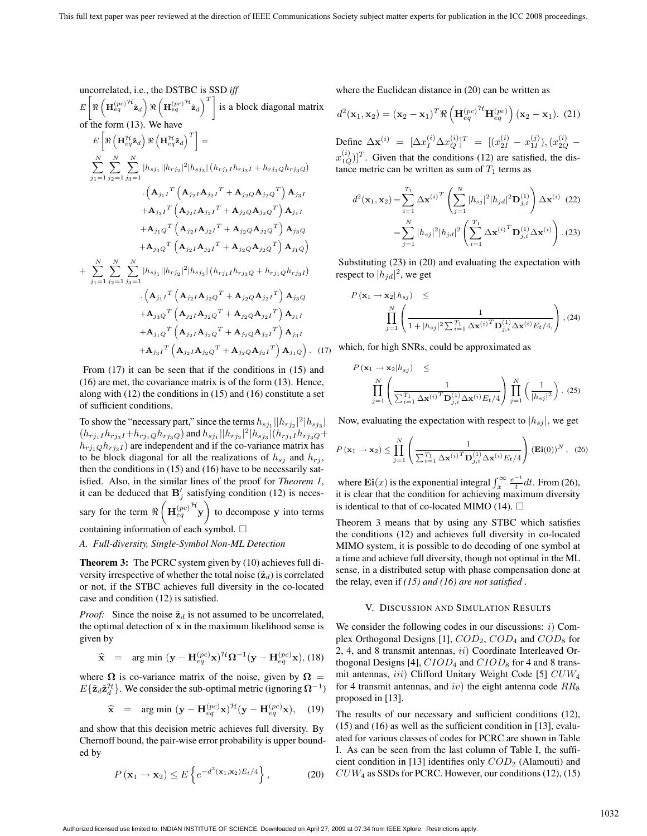uncorrelated, i.e., the DSTBC is SSD *iff*  
\n
$$
E\left[\Re\left(\mathbf{H}_{eq}^{(pc)^{H}\tilde{\mathbf{z}}_{d}}\right)\Re\left(\mathbf{H}_{eq}^{(pc)^{H}\tilde{\mathbf{z}}_{d}}\right)^{T}\right] \text{ is a block diagonal matrix}
$$
\nof the form (13). We have  
\n
$$
E\left[\Re\left(\mathbf{H}_{eq}^{H}\tilde{\mathbf{z}}_{d}\right)\Re\left(\mathbf{H}_{eq}^{H}\tilde{\mathbf{z}}_{d}\right)^{T}\right] =
$$
\n
$$
\sum_{j_{1}=1}^{N} \sum_{j_{2}=1}^{N} \sum_{j_{3}=1}^{N} |h_{sj_{1}}||h_{rj_{2}}|^{2}|h_{sj_{3}}| (h_{rj_{1}}Ih_{rj_{3}}I + h_{rj_{1}}Qh_{rj_{3}}Q)
$$
\n
$$
\cdot \left(\mathbf{A}_{j_{1}I}^{T}\left(\mathbf{A}_{j_{2}I}\mathbf{A}_{j_{2}I}^{T} + \mathbf{A}_{j_{2}Q}\mathbf{A}_{j_{2}Q}^{T}\right)\mathbf{A}_{j_{3}I} + \mathbf{A}_{j_{3}I}^{T}\left(\mathbf{A}_{j_{2}I}\mathbf{A}_{j_{2}I}^{T} + \mathbf{A}_{j_{2}Q}\mathbf{A}_{j_{2}Q}^{T}\right)\mathbf{A}_{j_{1}I} + \mathbf{A}_{j_{1}Q}^{T}\left(\mathbf{A}_{j_{2}I}\mathbf{A}_{j_{2}I}^{T} + \mathbf{A}_{j_{2}Q}\mathbf{A}_{j_{2}Q}^{T}\right)\mathbf{A}_{j_{1}I}
$$
\n
$$
+ \mathbf{A}_{j_{1}Q}^{T}\left(\mathbf{A}_{j_{2}I}\mathbf{A}_{j_{2}I}^{T} + \mathbf{A}_{j_{2}Q}\mathbf{A}_{j_{2}Q}^{T}\right)\mathbf{A}_{j_{1}Q}
$$
\n
$$
+ \mathbf{A}_{j_{3}Q}^{T}\left(\mathbf{A}_{j_{2}I}\mathbf{A}_{j_{2}I}^{T} + \mathbf{A}_{j_{2}Q}\mathbf{A}_{j_{2}Q}^{T}\right)\mathbf{A}_{j_{1}Q}
$$
\n
$$
+ \sum_{j_{1}=1}^{
$$

From  $(17)$  it can be seen that if the conditions in  $(15)$  and (16) are met, the covariance matrix is of the form (13). Hence, along with (12) the conditions in (15) and (16) constitute a set of sufficient conditions.

To show the "necessary part," since the terms  $h_{s,j} || h_{r,j_2} |^2 | h_{s,j_3} |$  $(h_{rj_1I}h_{rj_3I}+h_{rj_1Q}h_{rj_3Q})$  and  $h_{sj_1}||h_{rj_2}|^2|h_{sj_3}|(h_{rj_1I}h_{rj_3Q}+$  $h_{rj_1Q}h_{rj_3I}$  are independent and if the co-variance matrix has to be block diagonal for all the realizations of  $h_{sj}$  and  $h_{rj}$ , then the conditions in (15) and (16) have to be necessarily satisfied. Also, in the similar lines of the proof for *Theorem 1*, it can be deduced that  $\mathbf{B}'_i$  satisfying condition (12) is necessary for the term  $\Re\left(\mathbf{H}_{eq}^{(pc)}\right)^{\mathcal{H}}\mathbf{y}$ ! to decompose **y** into terms containing information of each symbol.  $\Box$ 

## *A. Full-diversity, Single-Symbol Non-ML Detection*

**Theorem 3:** The PCRC system given by (10) achieves full diversity irrespective of whether the total noise  $(\tilde{\mathbf{z}}_d)$  is correlated or not, if the STBC achieves full diversity in the co-located case and condition (12) is satisfied.

*Proof:* Since the noise  $\tilde{\mathbf{z}}_d$  is not assumed to be uncorrelated, the optimal detection of **x** in the maximum likelihood sense is given by

$$
\widehat{\mathbf{x}} = \arg \min (\mathbf{y} - \mathbf{H}_{eq}^{(pc)} \mathbf{x})^{\mathcal{H}} \mathbf{\Omega}^{-1} (\mathbf{y} - \mathbf{H}_{eq}^{(pc)} \mathbf{x}), (18)
$$

where  $\Omega$  is co-variance matrix of the noise, given by  $\Omega =$  $E{\{\tilde{\mathbf{z}}_d \tilde{\mathbf{z}}_d^{\mathcal{H}}\}}$ . We consider the sub-optimal metric (ignoring  $\Omega^{-1}$ )

$$
\widehat{\mathbf{x}} = \arg \min \left( \mathbf{y} - \mathbf{H}_{eq}^{(pc)} \mathbf{x} \right)^{\mathcal{H}} (\mathbf{y} - \mathbf{H}_{eq}^{(pc)} \mathbf{x}), \quad (19)
$$

and show that this decision metric achieves full diversity. By Chernoff bound, the pair-wise error probability is upper bounded by

$$
P\left(\mathbf{x}_1 \to \mathbf{x}_2\right) \le E\left\{e^{-d^2(\mathbf{x}_1,\mathbf{x}_2)E_t/4}\right\},\tag{20}
$$

where the Euclidean distance in (20) can be written as

$$
d^{2}(\mathbf{x}_{1}, \mathbf{x}_{2}) = (\mathbf{x}_{2} - \mathbf{x}_{1})^{T} \Re\left(\mathbf{H}_{eq}^{(pc)}\right)^{\mathcal{H}} \mathbf{H}_{eq}^{(pc)}\right) (\mathbf{x}_{2} - \mathbf{x}_{1}). \tag{21}
$$

Define  $\Delta \mathbf{x}^{(i)} = [\Delta x_I^{(i)} \Delta x_Q^{(i)}]^T = [(x_{2I}^{(i)} - x_{1I}^{(j)}), (x_{2Q}^{(i)} - x_{2Q}^{(i)})]^T$  $(x_{1Q}^{(i)})^T$ . Given that the conditions (12) are satisfied, the distance metric can be written as sum of  $T_1$  terms as

$$
d^{2}(\mathbf{x}_{1}, \mathbf{x}_{2}) = \sum_{i=1}^{T_{1}} \Delta \mathbf{x}^{(i)T} \left( \sum_{j=1}^{N} |h_{sj}|^{2} |h_{jd}|^{2} \mathbf{D}_{j,i}^{(1)} \right) \Delta \mathbf{x}^{(i)} \tag{22}
$$

$$
= \sum_{j=1}^{N} |h_{sj}|^{2} |h_{jd}|^{2} \left( \sum_{i=1}^{T_{1}} \Delta \mathbf{x}^{(i)T} \mathbf{D}_{j,i}^{(1)} \Delta \mathbf{x}^{(i)} \right). (23)
$$

Substituting (23) in (20) and evaluating the expectation with respect to  $|h_{jd}|^2$ , we get

$$
P(\mathbf{x}_1 \to \mathbf{x}_2 | h_{sj}) \le
$$
  

$$
\prod_{j=1}^N \left( \frac{1}{1 + |h_{sj}|^2 \sum_{i=1}^{T_1} \Delta \mathbf{x}^{(i)T} \mathbf{D}_{j,i}^{(1)} \Delta \mathbf{x}^{(i)} E_t / 4,} \right), (24)
$$

 $(17)$ which, for high SNRs, could be approximated as

$$
P(\mathbf{x}_1 \to \mathbf{x}_2 | h_{sj}) \le
$$
  

$$
\prod_{j=1}^N \left( \frac{1}{\sum_{i=1}^{T_1} \Delta \mathbf{x}^{(i)T} \mathbf{D}_{j,i}^{(1)} \Delta \mathbf{x}^{(i)} E_t / 4} \right) \prod_{j=1}^N \left( \frac{1}{|h_{sj}|^2} \right). (25)
$$

Now, evaluating the expectation with respect to  $|h_{si}|$ , we get

$$
P(\mathbf{x}_1 \to \mathbf{x}_2) \le \prod_{j=1}^N \left( \frac{1}{\sum_{i=1}^{T_1} \Delta \mathbf{x}^{(i)}^T \mathbf{D}_{j,i}^{(1)} \Delta \mathbf{x}^{(i)} E_t / 4} \right) (\mathbf{Ei}(0))^N , \quad (26)
$$

where  $\mathbf{Ei}(x)$  is the exponential integral  $\int_x^{\infty} \frac{e^{-t}}{t} dt$ . From (26), it is clear that the condition for achieving maximum diversity is identical to that of co-located MIMO (14).  $\Box$ 

Theorem 3 means that by using any STBC which satisfies the conditions (12) and achieves full diversity in co-located MIMO system, it is possible to do decoding of one symbol at a time and achieve full diversity, though not optimal in the ML sense, in a distributed setup with phase compensation done at the relay, even if *(15) and (16) are not satisfied* .

# V. DISCUSSION AND SIMULATION RESULTS

We consider the following codes in our discussions:  $i$ ) Complex Orthogonal Designs [1],  $COD_2$ ,  $COD_4$  and  $COD_8$  for 2, 4, and 8 transmit antennas, ii) Coordinate Interleaved Orthogonal Designs [4],  $CIOD<sub>4</sub>$  and  $CIOD<sub>8</sub>$  for 4 and 8 transmit antennas,  $iii)$  Clifford Unitary Weight Code [5]  $CUW_4$ for 4 transmit antennas, and iv) the eight antenna code  $RR_8$ proposed in [13].

The results of our necessary and sufficient conditions (12), (15) and (16) as well as the sufficient condition in [13], evaluated for various classes of codes for PCRC are shown in Table I. As can be seen from the last column of Table I, the sufficient condition in [13] identifies only  $COD<sub>2</sub>$  (Alamouti) and  $CUW_4$  as SSDs for PCRC. However, our conditions (12), (15)